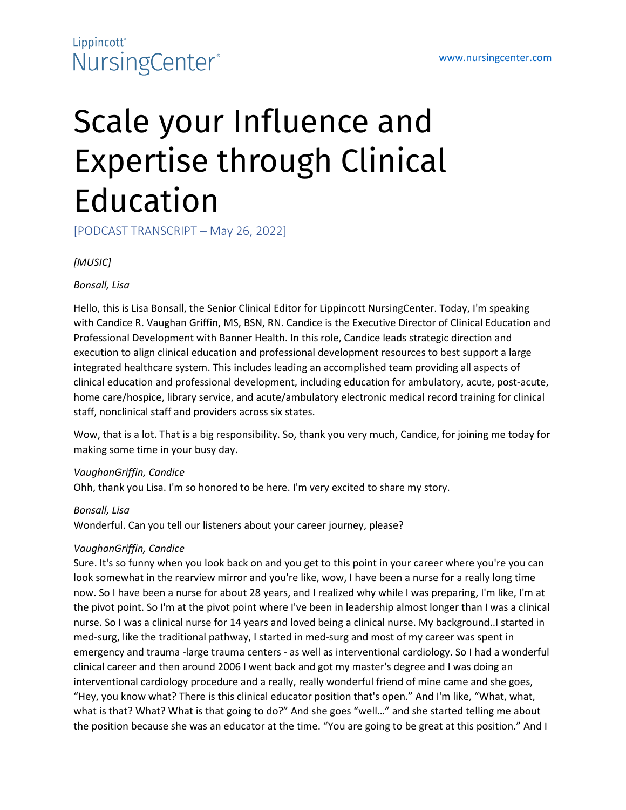### Lippincott<sup>\*</sup> NursingCenter®

# Scale your Influence and Expertise through Clinical Education

[PODCAST TRANSCRIPT – May 26, 2022]

*[MUSIC]*

*Bonsall, Lisa*

Hello, this is Lisa Bonsall, the Senior Clinical Editor for Lippincott NursingCenter. Today, I'm speaking with Candice R. Vaughan Griffin, MS, BSN, RN. Candice is the Executive Director of Clinical Education and Professional Development with Banner Health. In this role, Candice leads strategic direction and execution to align clinical education and professional development resources to best support a large integrated healthcare system. This includes leading an accomplished team providing all aspects of clinical education and professional development, including education for ambulatory, acute, post-acute, home care/hospice, library service, and acute/ambulatory electronic medical record training for clinical staff, nonclinical staff and providers across six states.

Wow, that is a lot. That is a big responsibility. So, thank you very much, Candice, for joining me today for making some time in your busy day.

*VaughanGriffin, Candice*

Ohh, thank you Lisa. I'm so honored to be here. I'm very excited to share my story.

*Bonsall, Lisa*

Wonderful. Can you tell our listeners about your career journey, please?

#### *VaughanGriffin, Candice*

Sure. It's so funny when you look back on and you get to this point in your career where you're you can look somewhat in the rearview mirror and you're like, wow, I have been a nurse for a really long time now. So I have been a nurse for about 28 years, and I realized why while I was preparing, I'm like, I'm at the pivot point. So I'm at the pivot point where I've been in leadership almost longer than I was a clinical nurse. So I was a clinical nurse for 14 years and loved being a clinical nurse. My background..I started in med-surg, like the traditional pathway, I started in med-surg and most of my career was spent in emergency and trauma -large trauma centers - as well as interventional cardiology. So I had a wonderful clinical career and then around 2006 I went back and got my master's degree and I was doing an interventional cardiology procedure and a really, really wonderful friend of mine came and she goes, "Hey, you know what? There is this clinical educator position that's open." And I'm like, "What, what, what is that? What? What is that going to do?" And she goes "well..." and she started telling me about the position because she was an educator at the time. "You are going to be great at this position." And I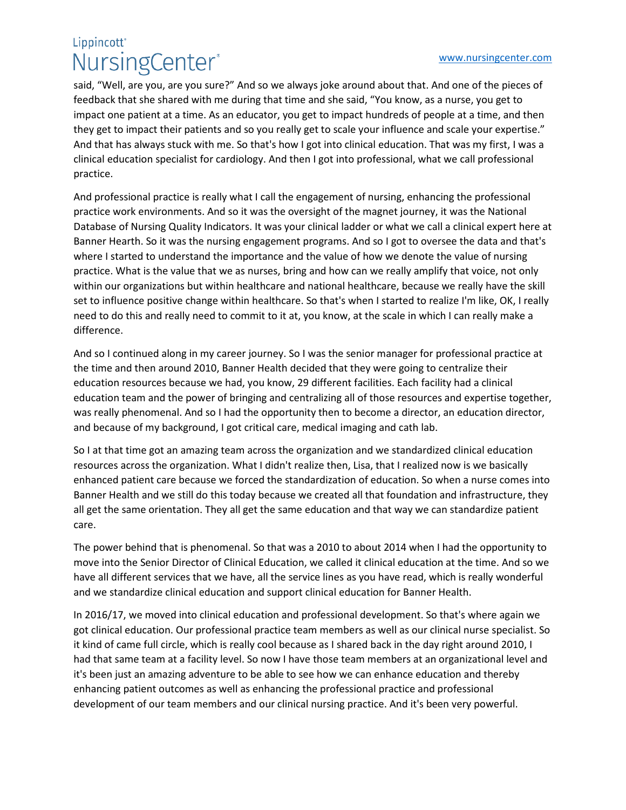### Lippincott<sup>®</sup> NursingCenter®

said, "Well, are you, are you sure?" And so we always joke around about that. And one of the pieces of feedback that she shared with me during that time and she said, "You know, as a nurse, you get to impact one patient at a time. As an educator, you get to impact hundreds of people at a time, and then they get to impact their patients and so you really get to scale your influence and scale your expertise." And that has always stuck with me. So that's how I got into clinical education. That was my first, I was a clinical education specialist for cardiology. And then I got into professional, what we call professional practice.

And professional practice is really what I call the engagement of nursing, enhancing the professional practice work environments. And so it was the oversight of the magnet journey, it was the National Database of Nursing Quality Indicators. It was your clinical ladder or what we call a clinical expert here at Banner Hearth. So it was the nursing engagement programs. And so I got to oversee the data and that's where I started to understand the importance and the value of how we denote the value of nursing practice. What is the value that we as nurses, bring and how can we really amplify that voice, not only within our organizations but within healthcare and national healthcare, because we really have the skill set to influence positive change within healthcare. So that's when I started to realize I'm like, OK, I really need to do this and really need to commit to it at, you know, at the scale in which I can really make a difference.

And so I continued along in my career journey. So I was the senior manager for professional practice at the time and then around 2010, Banner Health decided that they were going to centralize their education resources because we had, you know, 29 different facilities. Each facility had a clinical education team and the power of bringing and centralizing all of those resources and expertise together, was really phenomenal. And so I had the opportunity then to become a director, an education director, and because of my background, I got critical care, medical imaging and cath lab.

So I at that time got an amazing team across the organization and we standardized clinical education resources across the organization. What I didn't realize then, Lisa, that I realized now is we basically enhanced patient care because we forced the standardization of education. So when a nurse comes into Banner Health and we still do this today because we created all that foundation and infrastructure, they all get the same orientation. They all get the same education and that way we can standardize patient care.

The power behind that is phenomenal. So that was a 2010 to about 2014 when I had the opportunity to move into the Senior Director of Clinical Education, we called it clinical education at the time. And so we have all different services that we have, all the service lines as you have read, which is really wonderful and we standardize clinical education and support clinical education for Banner Health.

In 2016/17, we moved into clinical education and professional development. So that's where again we got clinical education. Our professional practice team members as well as our clinical nurse specialist. So it kind of came full circle, which is really cool because as I shared back in the day right around 2010, I had that same team at a facility level. So now I have those team members at an organizational level and it's been just an amazing adventure to be able to see how we can enhance education and thereby enhancing patient outcomes as well as enhancing the professional practice and professional development of our team members and our clinical nursing practice. And it's been very powerful.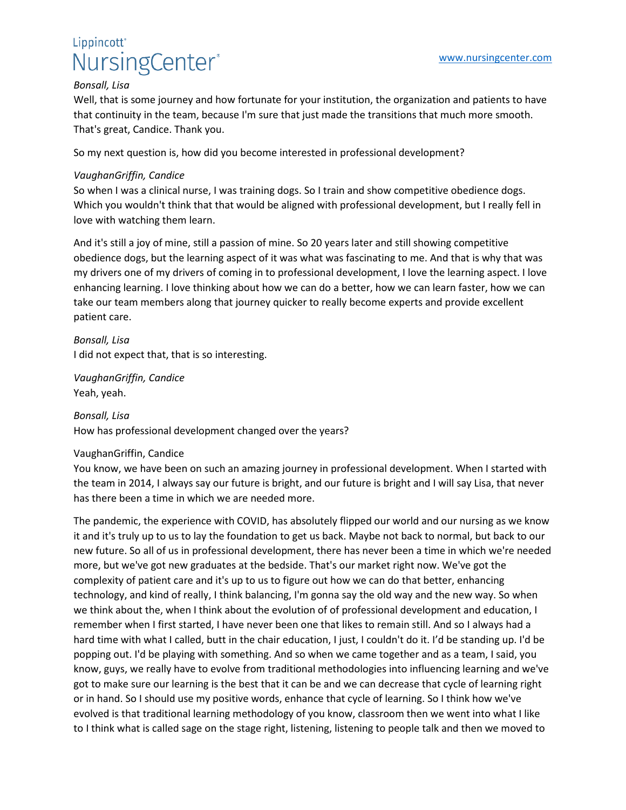### Lippincott<sup>\*</sup> NursingCenter®

#### *Bonsall, Lisa*

Well, that is some journey and how fortunate for your institution, the organization and patients to have that continuity in the team, because I'm sure that just made the transitions that much more smooth. That's great, Candice. Thank you.

So my next question is, how did you become interested in professional development?

#### *VaughanGriffin, Candice*

So when I was a clinical nurse, I was training dogs. So I train and show competitive obedience dogs. Which you wouldn't think that that would be aligned with professional development, but I really fell in love with watching them learn.

And it's still a joy of mine, still a passion of mine. So 20 years later and still showing competitive obedience dogs, but the learning aspect of it was what was fascinating to me. And that is why that was my drivers one of my drivers of coming in to professional development, I love the learning aspect. I love enhancing learning. I love thinking about how we can do a better, how we can learn faster, how we can take our team members along that journey quicker to really become experts and provide excellent patient care.

*Bonsall, Lisa* I did not expect that, that is so interesting.

*VaughanGriffin, Candice* Yeah, yeah.

*Bonsall, Lisa* How has professional development changed over the years?

#### VaughanGriffin, Candice

You know, we have been on such an amazing journey in professional development. When I started with the team in 2014, I always say our future is bright, and our future is bright and I will say Lisa, that never has there been a time in which we are needed more.

The pandemic, the experience with COVID, has absolutely flipped our world and our nursing as we know it and it's truly up to us to lay the foundation to get us back. Maybe not back to normal, but back to our new future. So all of us in professional development, there has never been a time in which we're needed more, but we've got new graduates at the bedside. That's our market right now. We've got the complexity of patient care and it's up to us to figure out how we can do that better, enhancing technology, and kind of really, I think balancing, I'm gonna say the old way and the new way. So when we think about the, when I think about the evolution of of professional development and education, I remember when I first started, I have never been one that likes to remain still. And so I always had a hard time with what I called, butt in the chair education, I just, I couldn't do it. I'd be standing up. I'd be popping out. I'd be playing with something. And so when we came together and as a team, I said, you know, guys, we really have to evolve from traditional methodologies into influencing learning and we've got to make sure our learning is the best that it can be and we can decrease that cycle of learning right or in hand. So I should use my positive words, enhance that cycle of learning. So I think how we've evolved is that traditional learning methodology of you know, classroom then we went into what I like to I think what is called sage on the stage right, listening, listening to people talk and then we moved to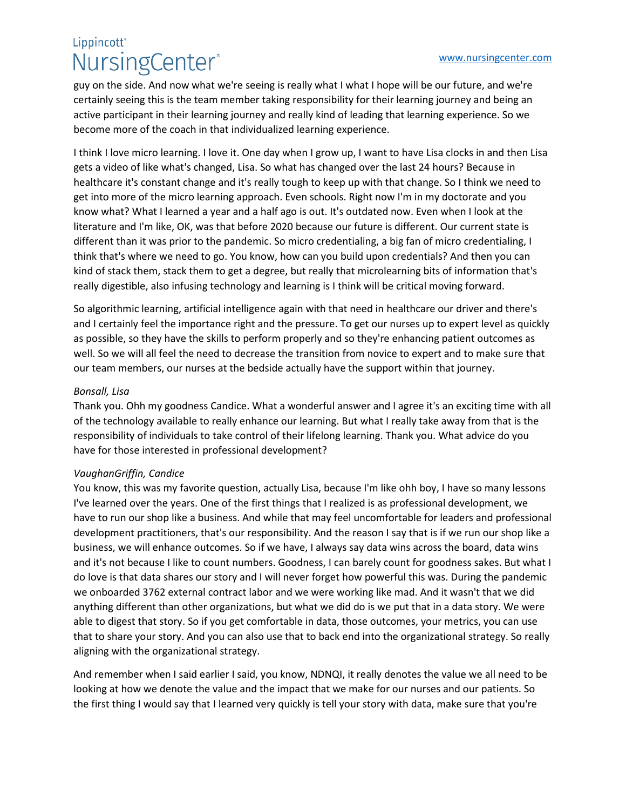# Lippincott<sup>®</sup> NursingCenter®

guy on the side. And now what we're seeing is really what I what I hope will be our future, and we're certainly seeing this is the team member taking responsibility for their learning journey and being an active participant in their learning journey and really kind of leading that learning experience. So we become more of the coach in that individualized learning experience.

I think I love micro learning. I love it. One day when I grow up, I want to have Lisa clocks in and then Lisa gets a video of like what's changed, Lisa. So what has changed over the last 24 hours? Because in healthcare it's constant change and it's really tough to keep up with that change. So I think we need to get into more of the micro learning approach. Even schools. Right now I'm in my doctorate and you know what? What I learned a year and a half ago is out. It's outdated now. Even when I look at the literature and I'm like, OK, was that before 2020 because our future is different. Our current state is different than it was prior to the pandemic. So micro credentialing, a big fan of micro credentialing, I think that's where we need to go. You know, how can you build upon credentials? And then you can kind of stack them, stack them to get a degree, but really that microlearning bits of information that's really digestible, also infusing technology and learning is I think will be critical moving forward.

So algorithmic learning, artificial intelligence again with that need in healthcare our driver and there's and I certainly feel the importance right and the pressure. To get our nurses up to expert level as quickly as possible, so they have the skills to perform properly and so they're enhancing patient outcomes as well. So we will all feel the need to decrease the transition from novice to expert and to make sure that our team members, our nurses at the bedside actually have the support within that journey.

#### *Bonsall, Lisa*

Thank you. Ohh my goodness Candice. What a wonderful answer and I agree it's an exciting time with all of the technology available to really enhance our learning. But what I really take away from that is the responsibility of individuals to take control of their lifelong learning. Thank you. What advice do you have for those interested in professional development?

#### *VaughanGriffin, Candice*

You know, this was my favorite question, actually Lisa, because I'm like ohh boy, I have so many lessons I've learned over the years. One of the first things that I realized is as professional development, we have to run our shop like a business. And while that may feel uncomfortable for leaders and professional development practitioners, that's our responsibility. And the reason I say that is if we run our shop like a business, we will enhance outcomes. So if we have, I always say data wins across the board, data wins and it's not because I like to count numbers. Goodness, I can barely count for goodness sakes. But what I do love is that data shares our story and I will never forget how powerful this was. During the pandemic we onboarded 3762 external contract labor and we were working like mad. And it wasn't that we did anything different than other organizations, but what we did do is we put that in a data story. We were able to digest that story. So if you get comfortable in data, those outcomes, your metrics, you can use that to share your story. And you can also use that to back end into the organizational strategy. So really aligning with the organizational strategy.

And remember when I said earlier I said, you know, NDNQI, it really denotes the value we all need to be looking at how we denote the value and the impact that we make for our nurses and our patients. So the first thing I would say that I learned very quickly is tell your story with data, make sure that you're